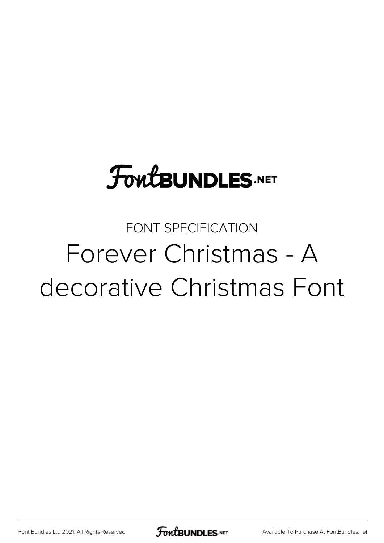#### FONT SPECIFICATION Forever Christmas - A decorative Christmas Font

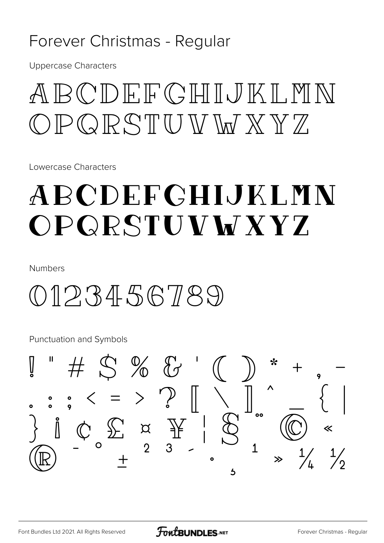#### Forever Christmas - Regular

**Uppercase Characters** 

## ABCDFFGHIJKI.MN  $D P Q R S T U W W W X Y Z$

Lowercase Characters

## ABCDEFGHIJKLMN OPQRSTUVWXYZ

**Numbers** 

#### $0123456789$

**Punctuation and Symbols** 

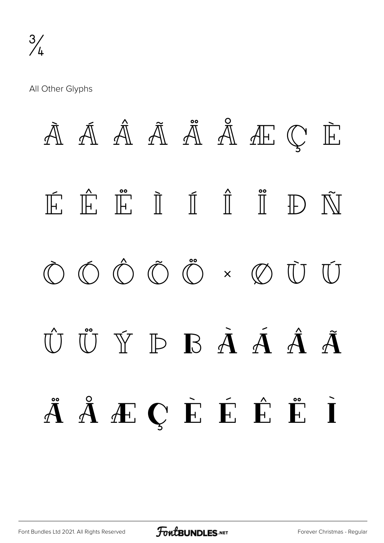All Other Glyphs

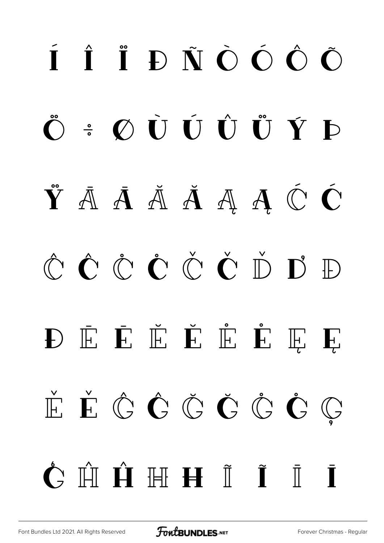# í î ï ð ñ ò ó ô õ ö ÷ ø ù ú û ü ý þ  $\check{Y}$   $\bar{A}$   $\bar{A}$   $\check{A}$   $\bar{A}$   $\bar{A}$   $\hat{C}$   $\acute{C}$ Ĉ ĉ Ċ ċ Č č Ď ď Đ Đ Ē Ē Ĕ Ě Ě E Ę Ę Ě ě Ĝ ĝ Ğ ğ Ġ ġ Ģ  $\hat{\mathsf{C}}$   $\hat{\mathsf{H}}$   $\hat{\mathsf{H}}$   $\mathsf{H}$   $\check{\mathsf{I}}$   $\hat{\mathsf{I}}$   $\hat{\mathsf{I}}$   $\hat{\mathsf{I}}$

[Font Bundles Ltd 2021. All Rights Reserved](https://fontbundles.net/) **FoutBUNDLES.NET** [Forever Christmas - Regular](https://fontbundles.net/)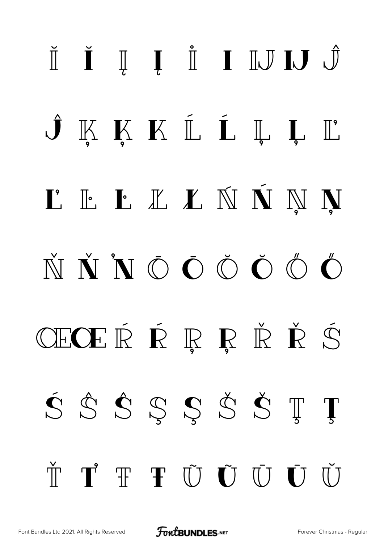# Ĭ Ĭ Į Į I I IJ IJ Ĵ  $\hat{J}$  K K K  $\mathbb{L}$  L L L T L'ELLLNNNN  $\check{N} \check{N} \check{N} \bullet \check{O} \bullet \check{O} \bullet \check{O} \bullet$ ÆŒŔŔŖŖŘŘŚ ŚŜŜŞŞŠŠŢŢ  $\check{\mathbb{T}} \quad \mathbf{T}^{\prime} \quad \mathbf{T} \quad \mathbf{T} \quad \tilde{\mathbf{U}} \quad \tilde{\mathbf{U}} \quad \tilde{\mathbf{U}} \quad \mathbf{U} \quad \mathbf{U} \quad \mathbf{U} \quad \mathbf{U}$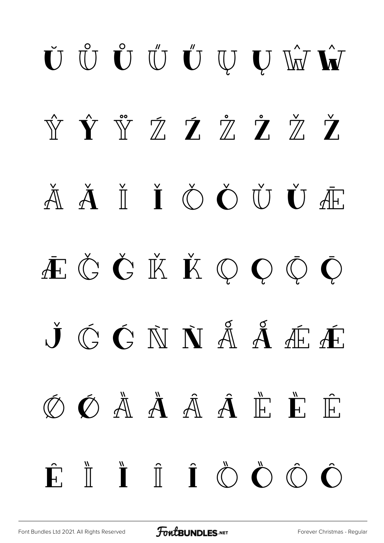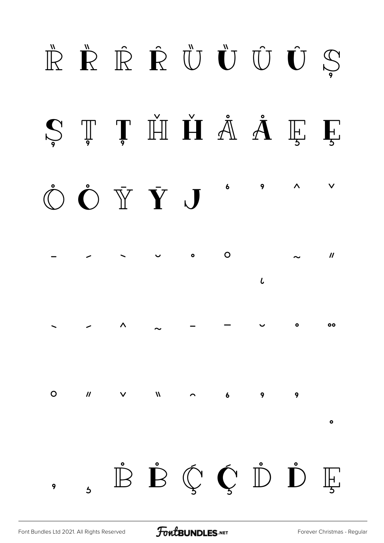#### ŘŘŘÛŮŮÚS Ș Ț Ț H H Å Å Ę Ę  $\bigcirc \bullet$   $\bullet$   $\bar{Y}$   $\bar{Y}$   $J$   $\circ$ 9  $\lambda$  $\mathbf O$  $\bullet$  $\boldsymbol{\prime\prime}$  $\iota$  $\bullet$  $0<sup>o</sup>$ ̀ ́ ̂ ̃ ̄ ̅ ̆ ̇ ̈  $\overline{O}$  $\mathbf{u}$  $\mathsf{V}$  $\overline{M}$  $\overline{\phantom{a}}$ 9 9  $\ddot{\phantom{0}}$  $\bullet$ ,  $\mathring{\mathbb{B}} \; \mathring{\mathbb{D}} \; \mathring{\mathbb{C}} \; \mathring{\mathbb{C}} \; \mathring{\mathbb{D}} \; \mathring{\mathbb{D}} \; \mathring{\mathbb{E}}$

[Font Bundles Ltd 2021. All Rights Reserved](https://fontbundles.net/) **FoutBUNDLES.NET** [Forever Christmas - Regular](https://fontbundles.net/)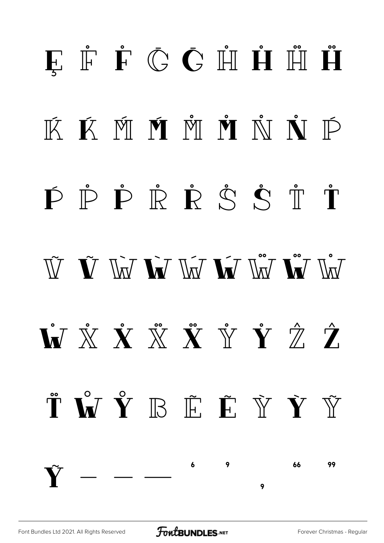## **E** Ė Ć Č H H H Ä KK MM MM MM NN ND  $\dot{\mathbf{P}} \; \dot{\mathbf{P}} \; \dot{\mathbf{P}} \; \dot{\mathbf{R}} \; \dot{\mathbf{R}} \; \dot{\mathbf{S}} \; \dot{\mathbf{S}} \; \dot{\mathbf{T}} \; \dot{\mathbf{T}}$  $\tilde{W}$   $\tilde{W}$   $\tilde{W}$   $\tilde{W}$   $\tilde{W}$   $\tilde{W}$   $\tilde{W}$   $\tilde{W}$   $\tilde{W}$   $\tilde{W}$   $\tilde{W}$  $\dot{\mathbf{W}} \times \dot{\mathbf{X}} \times \dot{\mathbf{X}} \times \dot{\mathbf{X}} \times \dot{\mathbf{Y}} \times \dot{\mathbf{Y}}$  $\H \bullet \mathbf{V} \quad \mathbf{V} \quad \mathbf{F} \quad \mathbf{F} \quad \mathbf{V} \quad \mathbf{V} \quad \mathbf{V}$  $\overline{9}$ 66 99  $\mathbf{Y}$  — — — .<br>9  $\ddot{\mathbf{Q}}$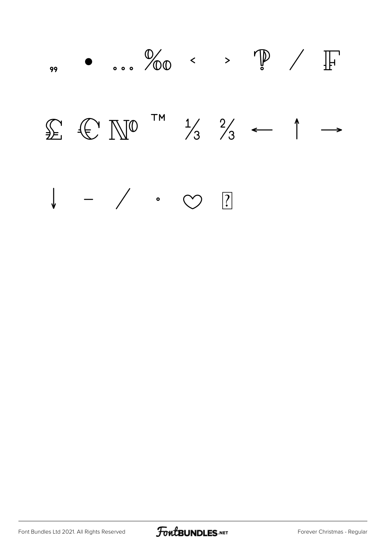

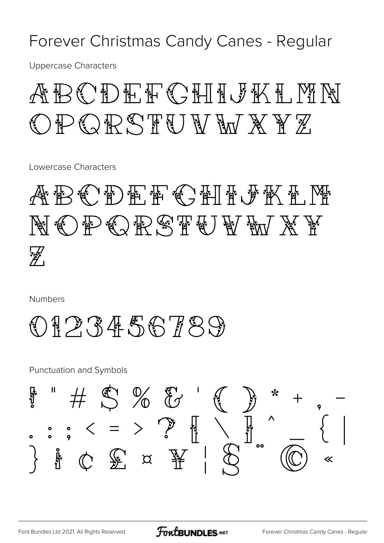Forever Christmas Candy Canes - Regular

**Uppercase Characters** 

#### ABODEHOHITALIKI OPORSTU*WWXYZ*

Lowercase Characters

ABCDEFCHFJKKL NOP ORSTUDE W W X W  $\mathscr{H}$ 

**Numbers** 

#### $\textcircled{1} \mathcal{P} \mathcal{R} \textcircled{4} \textcircled{5} \textcircled{7} \textcircled{7} \textcircled{9}$

**Punctuation and Symbols** 

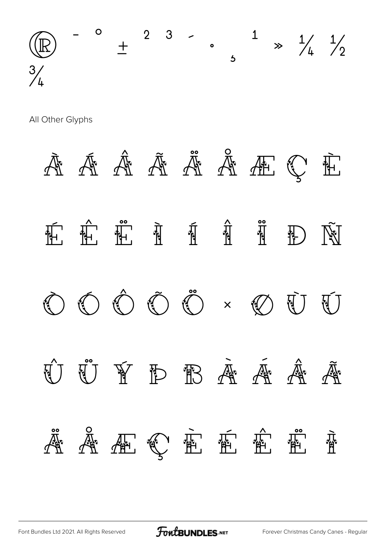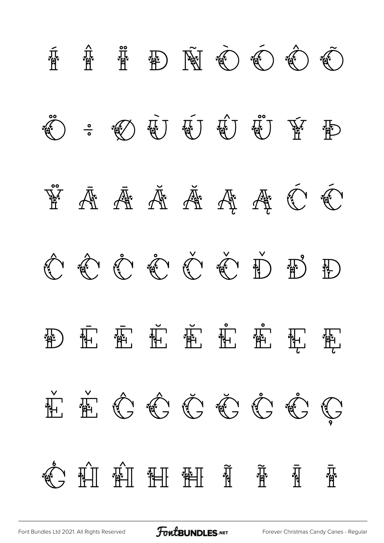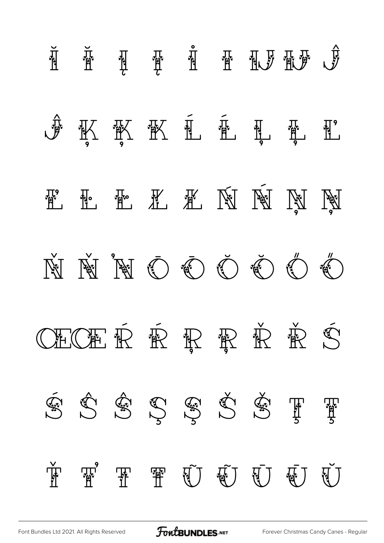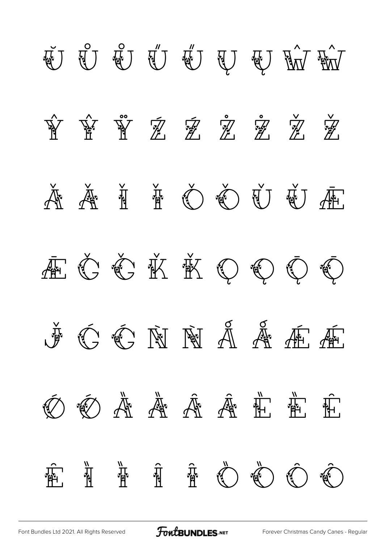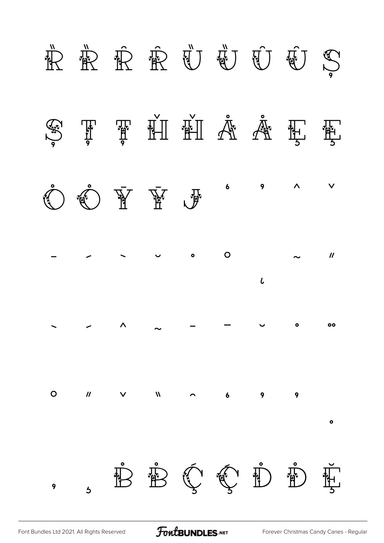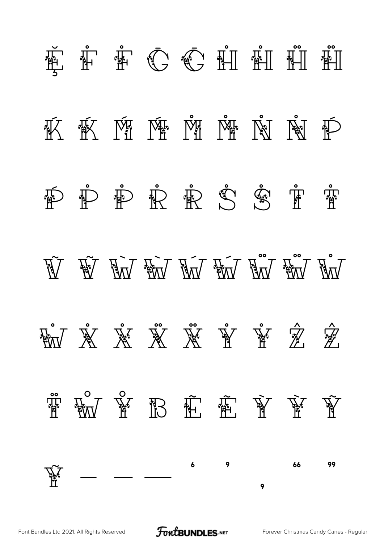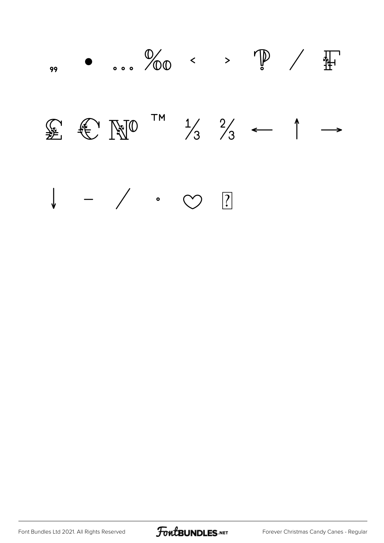

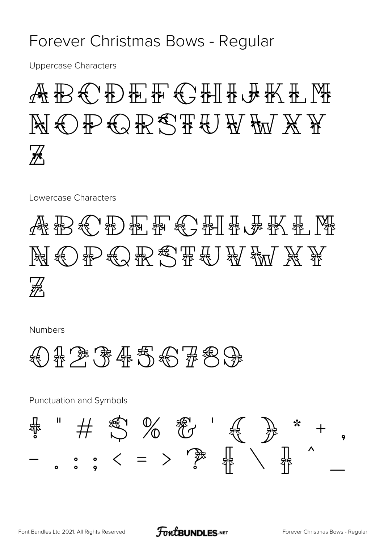#### Forever Christmas Bows - Regular

**Uppercase Characters** 

## **ABCDF开拓CTH开展KTK** NOPORSTUWXY  $\mathcal{H}_1$

Lowercase Characters

## 《然报》《宋》《新书》《宋书》《 张 张 《 《 》《 》 NGC PGGRSTEUW X P  $\mathcal{H}_1$

**Numbers** 



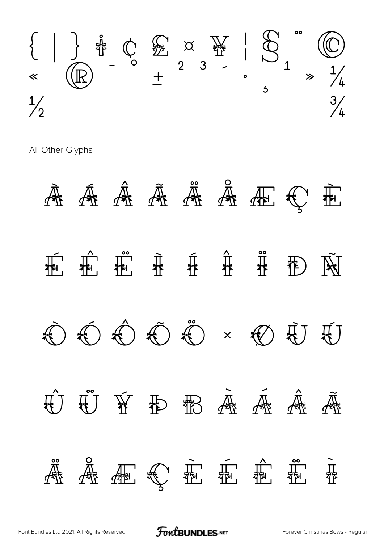

All Other Glyphs

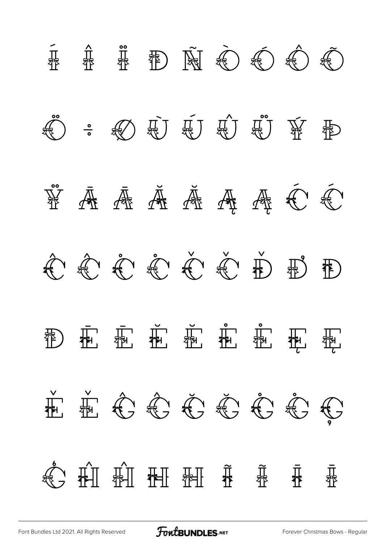

[Font Bundles Ltd 2021. All Rights Reserved](https://fontbundles.net/) **FoutBUNDLES.NET** [Forever Christmas Bows - Regular](https://fontbundles.net/)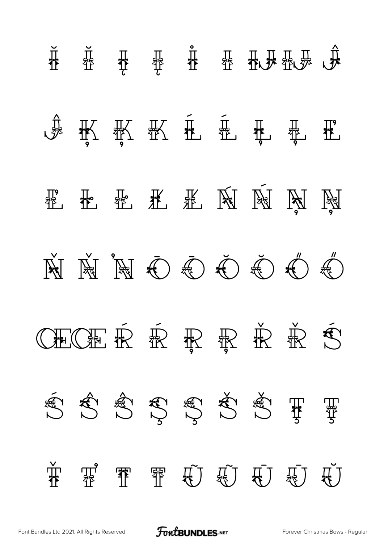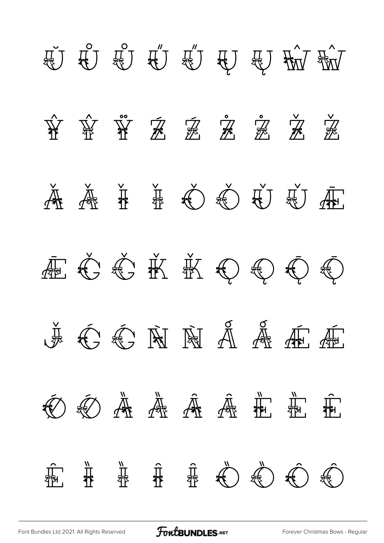

[Font Bundles Ltd 2021. All Rights Reserved](https://fontbundles.net/) **FontBUNDLES.NET** [Forever Christmas Bows - Regular](https://fontbundles.net/)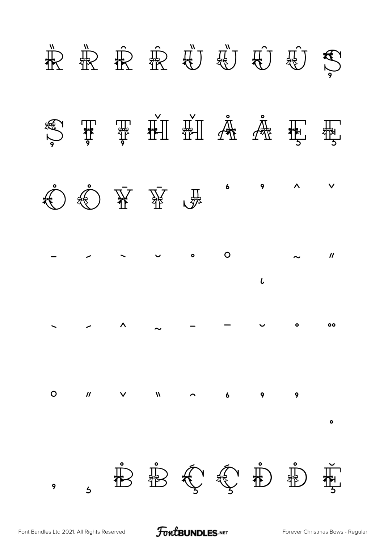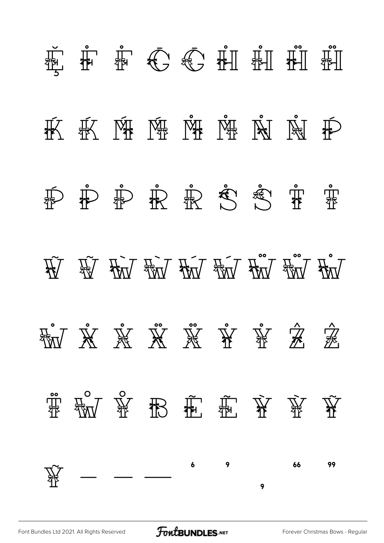

[Font Bundles Ltd 2021. All Rights Reserved](https://fontbundles.net/) **FoutBUNDLES.NET** [Forever Christmas Bows - Regular](https://fontbundles.net/)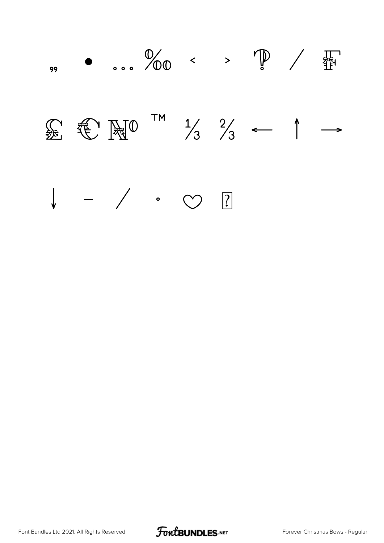

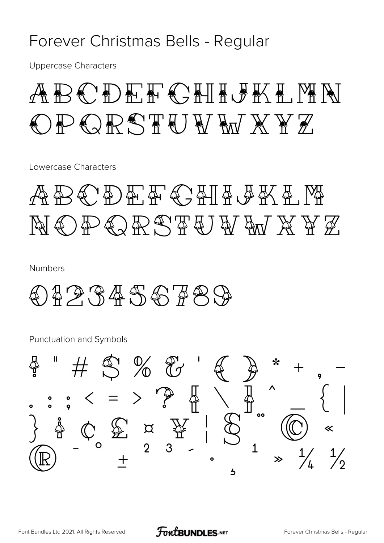#### Forever Christmas Bells - Regular

**Uppercase Characters** 

#### ABODER CHILDKI MN PORSTUWWXYZ

Lowercase Characters

#### ABCDEFCHFGKA.M NOPORSTUWANYZ

**Numbers** 

#### $) 49.3456789$

**Punctuation and Symbols** 

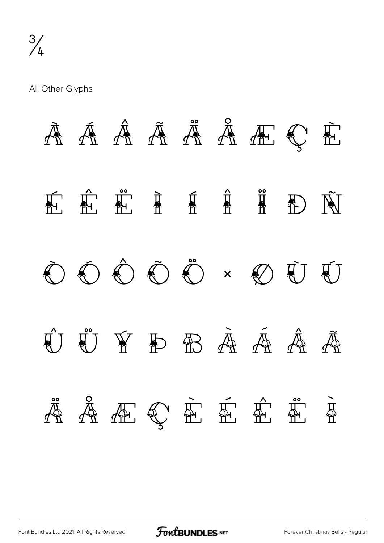All Other Glyphs

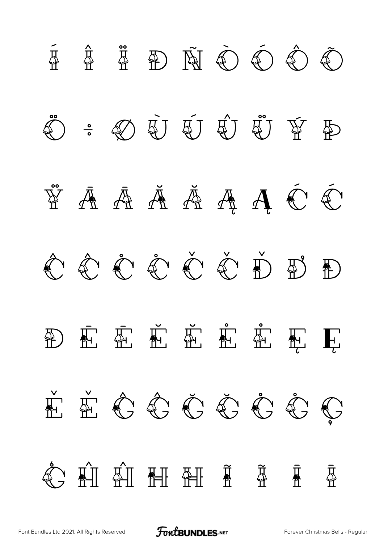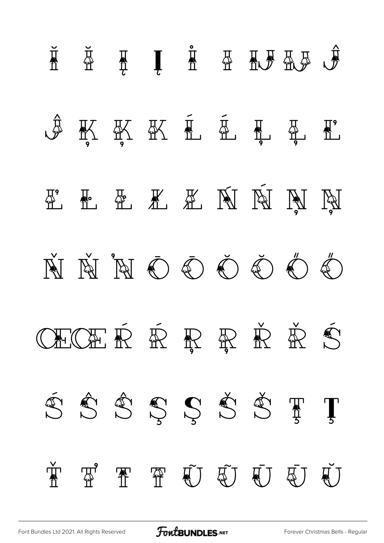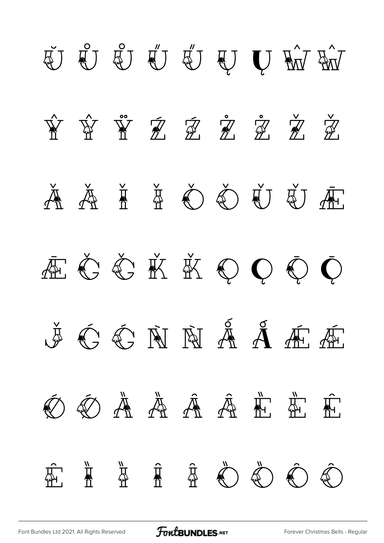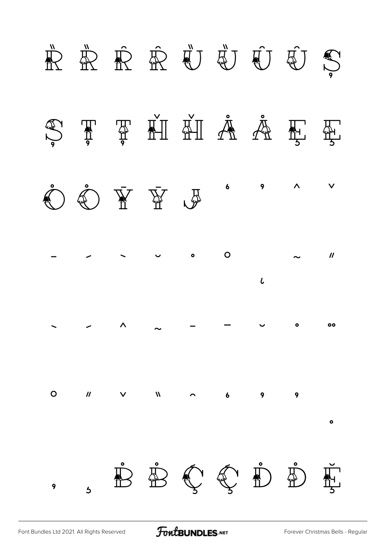

[Font Bundles Ltd 2021. All Rights Reserved](https://fontbundles.net/) **FoutBUNDLES.NET** [Forever Christmas Bells - Regular](https://fontbundles.net/)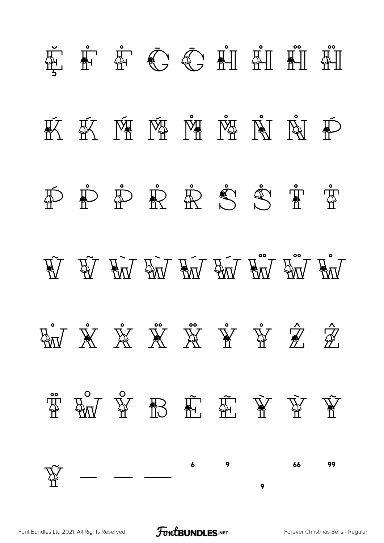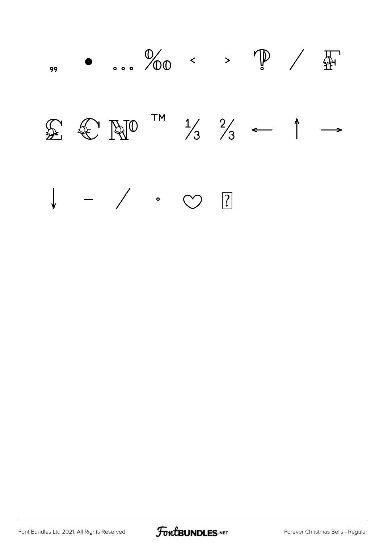

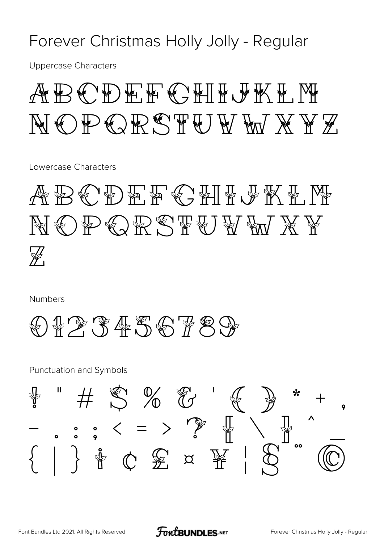#### Forever Christmas Holly Jolly - Regular

**Uppercase Characters** 

#### ABODEF CHIFLIK H NOPORSTUWWXYZ

Lowercase Characters

ABCDEF GHILF ALM NOPORSTUVM XY  $\mathbb{Z}$ 

**Numbers** 



**Punctuation and Symbols** 

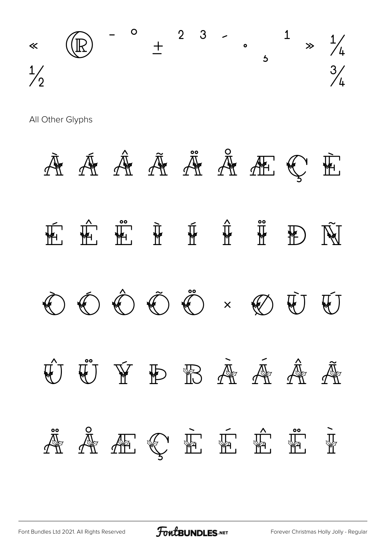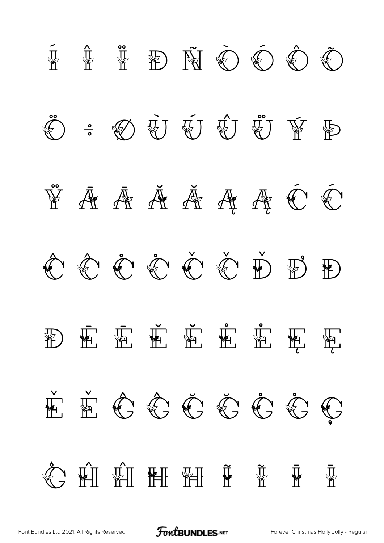

[Font Bundles Ltd 2021. All Rights Reserved](https://fontbundles.net/) **FoutBUNDLES.NET** [Forever Christmas Holly Jolly - Regular](https://fontbundles.net/)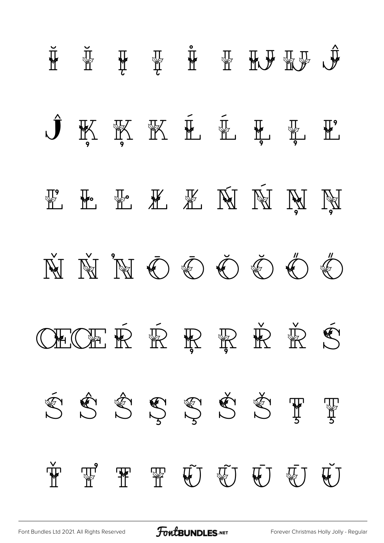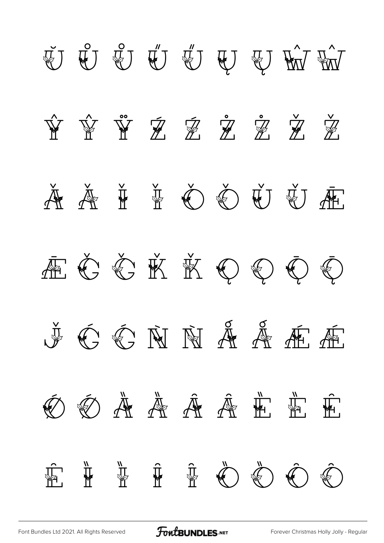

[Font Bundles Ltd 2021. All Rights Reserved](https://fontbundles.net/) **FoutBUNDLES.NET** [Forever Christmas Holly Jolly - Regular](https://fontbundles.net/)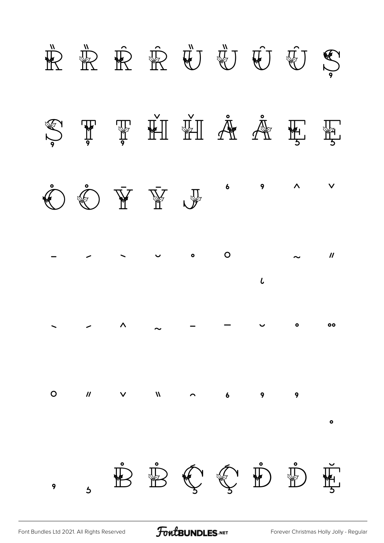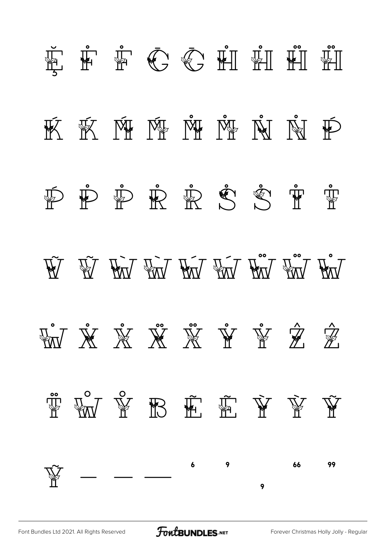